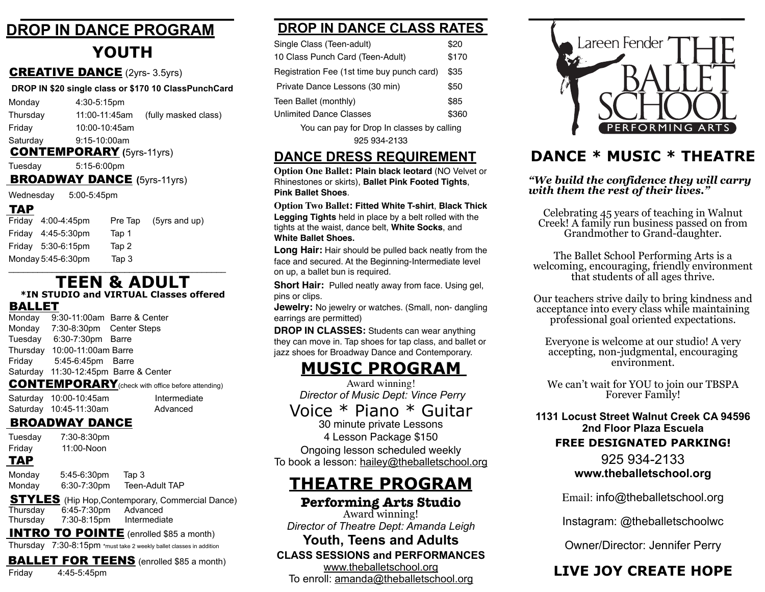## **DROP IN DANCE PROGRAM YOUTH**

### CREATIVE DANCE (2yrs- 3.5yrs)

| DROP IN \$20 single class or \$170 10 ClassPunchCard |                |                      |  |
|------------------------------------------------------|----------------|----------------------|--|
| Monday                                               | $4:30-5:15$ pm |                      |  |
| Thursday                                             | 11:00-11:45am  | (fully masked class) |  |
| Friday                                               | 10:00-10:45am  |                      |  |
| Saturday                                             | $9:15-10:00am$ |                      |  |

CONTEMPORARY **(**5yrs-11yrs)

Tuesday 5:15-6:00pm

### BROADWAY DANCE **(**5yrs-11yrs)

Wednesday 5:00-5:45pm

### TAP

| $\blacksquare$ |                    |         |                 |  |
|----------------|--------------------|---------|-----------------|--|
|                | Friday 4:00-4:45pm | Pre Tap | $(5yrs$ and up) |  |
|                | Friday 4:45-5:30pm | Tap 1   |                 |  |
|                | Friday 5:30-6:15pm | Tap 2   |                 |  |
|                | Monday 5:45-6:30pm | Tap 3   |                 |  |
|                |                    |         |                 |  |

# **TEEN & ADULT**

### **\*IN STUDIO and VIRTUAL Classes offered**

## **BALLET**<br>Monday 9:

9:30-11:00am Barre & Center Monday 7:30-8:30pm Center Steps Tuesday 6:30-7:30pm Barre Thursday 10:00-11:00am Barre Friday 5:45-6:45pm Barre Saturday 11:30-12:45pm Barre & Center

### CONTEMPORARY(check with office before attending)

| Saturday 10:00-10:45am | Intermediate |
|------------------------|--------------|
| Saturday 10:45-11:30am | Advanced     |

### **BROADWAY DANCE**

| Tuesday<br>Friday<br><b>TAP</b> | 7:30-8:30pm<br>11:00-Noon |                                                         |
|---------------------------------|---------------------------|---------------------------------------------------------|
| Monday                          | 5:45-6:30pm               | Tap 3                                                   |
| Monday                          | 6:30-7:30pm               | Teen-Adult TAP                                          |
|                                 |                           | <b>STYLES</b> (Hip Hop, Contemporary, Commercial Dance) |
| Thursday                        | 6:45-7:30pm Advanced      |                                                         |

## Thursday 7:30-8:15pm Intermediate

## **INTRO TO POINTE** (enrolled \$85 a month)

Thursday 7:30-8:15pm \*must take 2 weekly ballet classes in addition

## **BALLET FOR TEENS** (enrolled \$85 a month)

Friday 4:45-5:45pm

## **DROP IN DANCE CLASS RATES**

| Single Class (Teen-adult)                                                 |      |
|---------------------------------------------------------------------------|------|
| 10 Class Punch Card (Teen-Adult)                                          |      |
| Registration Fee (1st time buy punch card)                                |      |
| Private Dance Lessons (30 min)                                            | \$50 |
| Teen Ballet (monthly)                                                     |      |
| <b>Unlimited Dance Classes</b>                                            |      |
| $\mathcal{L}$ , and $\mathcal{L}$ , and $\mathcal{L}$ , and $\mathcal{L}$ |      |

You can pay for Drop In classes by calling 925 934-2133

## **DANCE DRESS REQUIREMENT**

**Option One Ballet: Plain black leotard** (NO Velvet or Rhinestones or skirts), **Ballet Pink Footed Tights**, **Pink Ballet Shoes**.

**Option Two Ballet: Fitted White T-shirt**, **Black Thick Legging Tights** held in place by a belt rolled with the tights at the waist, dance belt, **White Socks**, and **White Ballet Shoes.** 

**Long Hair:** Hair should be pulled back neatly from the face and secured. At the Beginning-Intermediate level on up, a ballet bun is required.

**Short Hair:** Pulled neatly away from face. Using gel, pins or clips.

**Jewelry:** No jewelry or watches. (Small, non- dangling earrings are permitted)

**DROP IN CLASSES:** Students can wear anything they can move in. Tap shoes for tap class, and ballet or jazz shoes for Broadway Dance and Contemporary.

## **MUSIC PROGRAM**

Award winning!  *Director of Music Dept: Vince Perry*

Voice \* Piano \* Guitar

30 minute private Lessons

4 Lesson Package \$150 Ongoing lesson scheduled weekly To book a lesson: [hailey@theballetschool.org](mailto:hailey@theballetschool.org)

# **THEATRE PROGRAM**

### **Performing Arts Studio**

Award winning! *Director of Theatre Dept: Amanda Leigh*

### **Youth, Teens and Adults CLASS SESSIONS and PERFORMANCES**

[www.theballetschool.org](http://www.theballetschool.org)

To enroll: [amanda@theballetschool.org](mailto:amanda@theballetschool.org)



## **DANCE \* MUSIC \* THEATRE**

### *"We build the confidence they will carry with them the rest of their lives."*

Celebrating 45 years of teaching in Walnut Creek! A family run business passed on from Grandmother to Grand-daughter.

The Ballet School Performing Arts is a welcoming, encouraging, friendly environment that students of all ages thrive.

Our teachers strive daily to bring kindness and acceptance into every class while maintaining professional goal oriented expectations.

Everyone is welcome at our studio! A very accepting, non-judgmental, encouraging environment.

We can't wait for YOU to join our TBSPA Forever Family!

**1131 Locust Street Walnut Creek CA 94596 2nd Floor Plaza Escuela FREE DESIGNATED PARKING!**

### 925 934-2133 **www.theballetschool.org**

Email: info@theballetschool.org

Instagram: @theballetschoolwc

Owner/Director: Jennifer Perry

## **LIVE JOY CREATE HOPE**